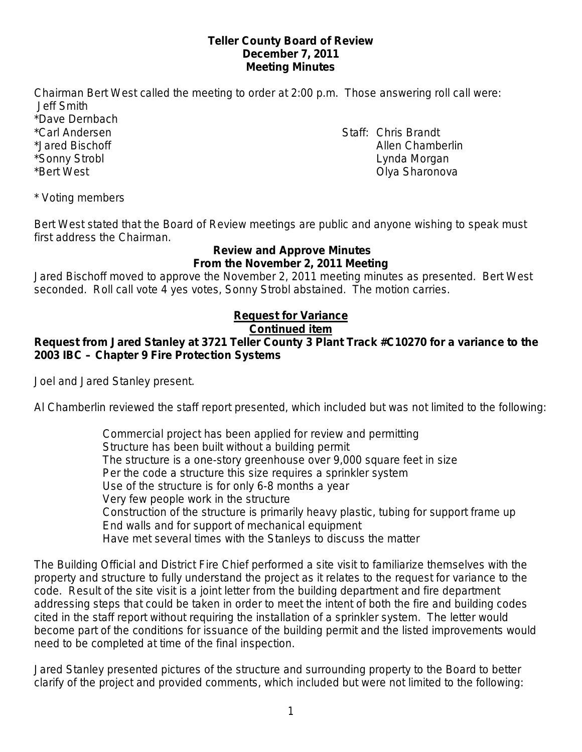### **Teller County Board of Review December 7, 2011 Meeting Minutes**

Chairman Bert West called the meeting to order at 2:00 p.m. Those answering roll call were: Jeff Smith

\*Dave Dernbach

\*Carl Andersen Staff: Chris Brandt \*Jared Bischoff Allen Chamberlin \*Sonny Strobl Lynda Morgan \*Bert West **All and Sharonova Contract Contract Contract Contract Contract Contract Contract Contract Contract Contract Contract Contract Contract Contract Contract Contract Contract Contract Contract Contract Contract C** 

\* Voting members

Bert West stated that the Board of Review meetings are public and anyone wishing to speak must first address the Chairman.

### **Review and Approve Minutes From the November 2, 2011 Meeting**

Jared Bischoff moved to approve the November 2, 2011 meeting minutes as presented. Bert West seconded. Roll call vote 4 yes votes, Sonny Strobl abstained. The motion carries.

# **Request for Variance**

## **Continued item**

## **Request from Jared Stanley at 3721 Teller County 3 Plant Track #C10270 for a variance to the 2003 IBC – Chapter 9 Fire Protection Systems**

Joel and Jared Stanley present.

Al Chamberlin reviewed the staff report presented, which included but was not limited to the following:

Commercial project has been applied for review and permitting Structure has been built without a building permit The structure is a one-story greenhouse over 9,000 square feet in size Per the code a structure this size requires a sprinkler system Use of the structure is for only 6-8 months a year Very few people work in the structure Construction of the structure is primarily heavy plastic, tubing for support frame up End walls and for support of mechanical equipment Have met several times with the Stanleys to discuss the matter

The Building Official and District Fire Chief performed a site visit to familiarize themselves with the property and structure to fully understand the project as it relates to the request for variance to the code. Result of the site visit is a joint letter from the building department and fire department addressing steps that could be taken in order to meet the intent of both the fire and building codes cited in the staff report without requiring the installation of a sprinkler system. The letter would become part of the conditions for issuance of the building permit and the listed improvements would need to be completed at time of the final inspection.

Jared Stanley presented pictures of the structure and surrounding property to the Board to better clarify of the project and provided comments, which included but were not limited to the following: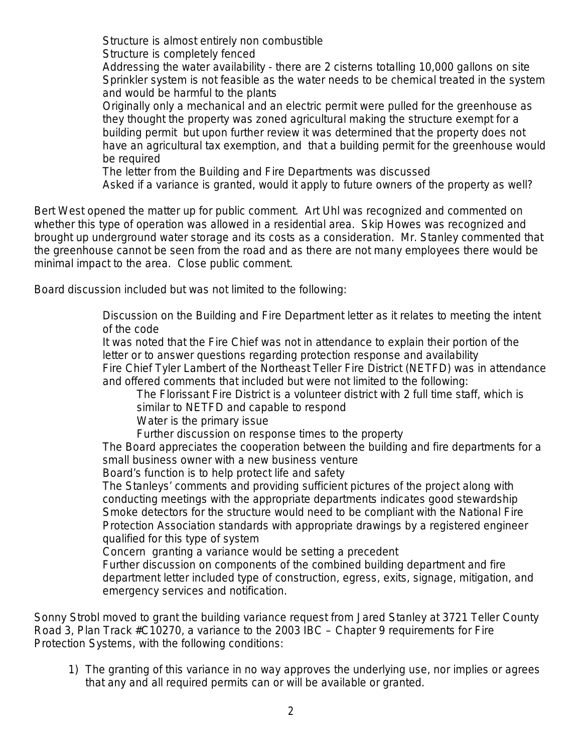Structure is almost entirely non combustible

Structure is completely fenced

Addressing the water availability - there are 2 cisterns totalling 10,000 gallons on site Sprinkler system is not feasible as the water needs to be chemical treated in the system and would be harmful to the plants

Originally only a mechanical and an electric permit were pulled for the greenhouse as they thought the property was zoned agricultural making the structure exempt for a building permit but upon further review it was determined that the property does not have an agricultural tax exemption, and that a building permit for the greenhouse would be required

The letter from the Building and Fire Departments was discussed

Asked if a variance is granted, would it apply to future owners of the property as well?

Bert West opened the matter up for public comment. Art Uhl was recognized and commented on whether this type of operation was allowed in a residential area. Skip Howes was recognized and brought up underground water storage and its costs as a consideration. Mr. Stanley commented that the greenhouse cannot be seen from the road and as there are not many employees there would be minimal impact to the area. Close public comment.

Board discussion included but was not limited to the following:

Discussion on the Building and Fire Department letter as it relates to meeting the intent of the code

It was noted that the Fire Chief was not in attendance to explain their portion of the letter or to answer questions regarding protection response and availability Fire Chief Tyler Lambert of the Northeast Teller Fire District (NETFD) was in attendance

and offered comments that included but were not limited to the following:

The Florissant Fire District is a volunteer district with 2 full time staff, which is similar to NETFD and capable to respond

Water is the primary issue

Further discussion on response times to the property

The Board appreciates the cooperation between the building and fire departments for a small business owner with a new business venture

Board's function is to help protect life and safety

The Stanleys' comments and providing sufficient pictures of the project along with conducting meetings with the appropriate departments indicates good stewardship Smoke detectors for the structure would need to be compliant with the National Fire Protection Association standards with appropriate drawings by a registered engineer qualified for this type of system

Concern granting a variance would be setting a precedent

Further discussion on components of the combined building department and fire department letter included type of construction, egress, exits, signage, mitigation, and emergency services and notification.

Sonny Strobl moved to grant the building variance request from Jared Stanley at 3721 Teller County Road 3, Plan Track #C10270, a variance to the 2003 IBC – Chapter 9 requirements for Fire Protection Systems, with the following conditions:

1) The granting of this variance in no way approves the underlying use, nor implies or agrees that any and all required permits can or will be available or granted.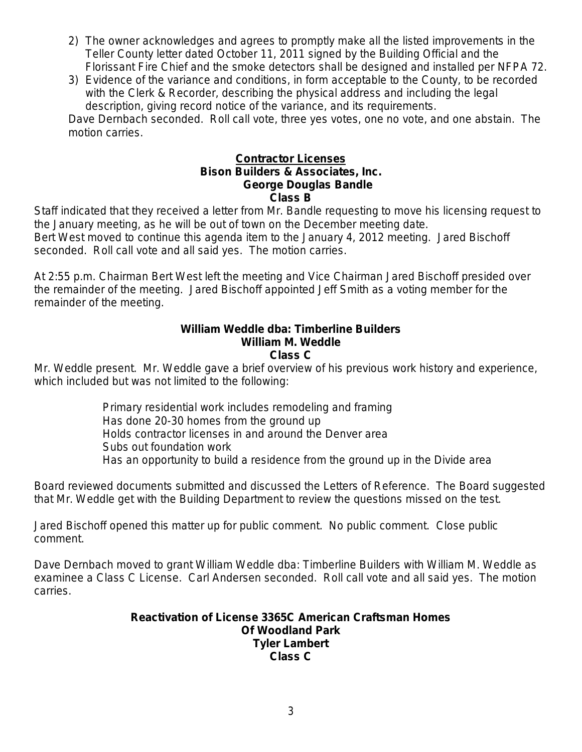- 2) The owner acknowledges and agrees to promptly make all the listed improvements in the Teller County letter dated October 11, 2011 signed by the Building Official and the Florissant Fire Chief and the smoke detectors shall be designed and installed per NFPA 72.
- 3) Evidence of the variance and conditions, in form acceptable to the County, to be recorded with the Clerk & Recorder, describing the physical address and including the legal description, giving record notice of the variance, and its requirements.

Dave Dernbach seconded. Roll call vote, three yes votes, one no vote, and one abstain. The motion carries.

### **Bison Builders & Associates, Inc. Contractor Licenses George Douglas Bandle Class B**

Staff indicated that they received a letter from Mr. Bandle requesting to move his licensing request to the January meeting, as he will be out of town on the December meeting date.

Bert West moved to continue this agenda item to the January 4, 2012 meeting. Jared Bischoff seconded. Roll call vote and all said yes. The motion carries.

At 2:55 p.m. Chairman Bert West left the meeting and Vice Chairman Jared Bischoff presided over the remainder of the meeting. Jared Bischoff appointed Jeff Smith as a voting member for the remainder of the meeting.

#### **William Weddle dba: Timberline Builders William M. Weddle Class C**

Mr. Weddle present. Mr. Weddle gave a brief overview of his previous work history and experience, which included but was not limited to the following:

> Primary residential work includes remodeling and framing Has done 20-30 homes from the ground up Holds contractor licenses in and around the Denver area Subs out foundation work Has an opportunity to build a residence from the ground up in the Divide area

Board reviewed documents submitted and discussed the Letters of Reference. The Board suggested that Mr. Weddle get with the Building Department to review the questions missed on the test.

Jared Bischoff opened this matter up for public comment. No public comment. Close public comment.

Dave Dernbach moved to grant William Weddle dba: Timberline Builders with William M. Weddle as examinee a Class C License. Carl Andersen seconded. Roll call vote and all said yes. The motion carries.

### **Reactivation of License 3365C American Craftsman Homes Of Woodland Park Tyler Lambert Class C**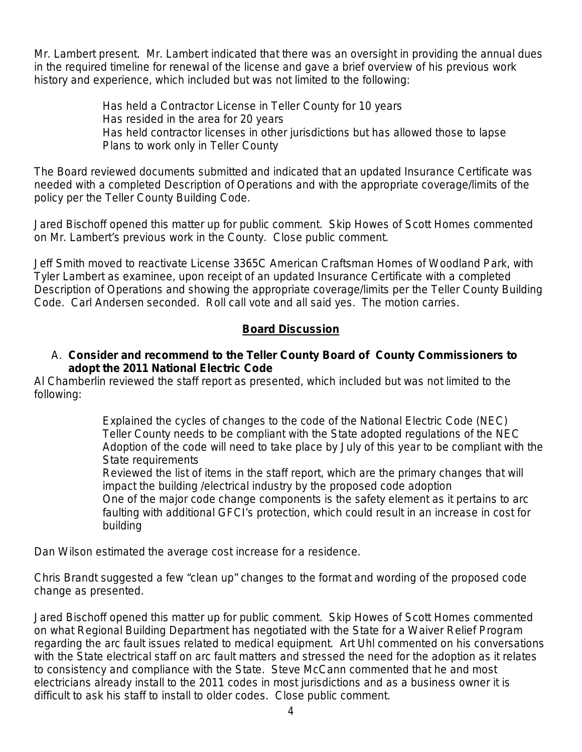Mr. Lambert present. Mr. Lambert indicated that there was an oversight in providing the annual dues in the required timeline for renewal of the license and gave a brief overview of his previous work history and experience, which included but was not limited to the following:

> Has held a Contractor License in Teller County for 10 years Has resided in the area for 20 years Has held contractor licenses in other jurisdictions but has allowed those to lapse Plans to work only in Teller County

The Board reviewed documents submitted and indicated that an updated Insurance Certificate was needed with a completed Description of Operations and with the appropriate coverage/limits of the policy per the Teller County Building Code.

Jared Bischoff opened this matter up for public comment. Skip Howes of Scott Homes commented on Mr. Lambert's previous work in the County. Close public comment.

Jeff Smith moved to reactivate License 3365C American Craftsman Homes of Woodland Park, with Tyler Lambert as examinee, upon receipt of an updated Insurance Certificate with a completed Description of Operations and showing the appropriate coverage/limits per the Teller County Building Code. Carl Andersen seconded. Roll call vote and all said yes. The motion carries.

### **Board Discussion**

## A. **Consider and recommend to the Teller County Board of County Commissioners to adopt the 2011 National Electric Code**

Al Chamberlin reviewed the staff report as presented, which included but was not limited to the following:

> Explained the cycles of changes to the code of the National Electric Code (NEC) Teller County needs to be compliant with the State adopted regulations of the NEC Adoption of the code will need to take place by July of this year to be compliant with the State requirements

Reviewed the list of items in the staff report, which are the primary changes that will impact the building /electrical industry by the proposed code adoption One of the major code change components is the safety element as it pertains to arc faulting with additional GFCI's protection, which could result in an increase in cost for building

Dan Wilson estimated the average cost increase for a residence.

Chris Brandt suggested a few "clean up" changes to the format and wording of the proposed code change as presented.

Jared Bischoff opened this matter up for public comment. Skip Howes of Scott Homes commented on what Regional Building Department has negotiated with the State for a Waiver Relief Program regarding the arc fault issues related to medical equipment. Art Uhl commented on his conversations with the State electrical staff on arc fault matters and stressed the need for the adoption as it relates to consistency and compliance with the State. Steve McCann commented that he and most electricians already install to the 2011 codes in most jurisdictions and as a business owner it is difficult to ask his staff to install to older codes. Close public comment.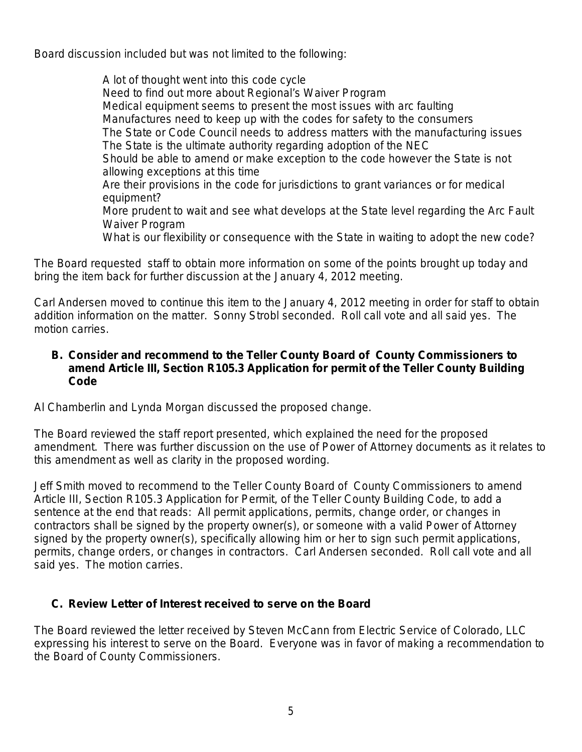Board discussion included but was not limited to the following:

A lot of thought went into this code cycle Need to find out more about Regional's Waiver Program Medical equipment seems to present the most issues with arc faulting Manufactures need to keep up with the codes for safety to the consumers The State or Code Council needs to address matters with the manufacturing issues The State is the ultimate authority regarding adoption of the NEC Should be able to amend or make exception to the code however the State is not allowing exceptions at this time Are their provisions in the code for jurisdictions to grant variances or for medical equipment? More prudent to wait and see what develops at the State level regarding the Arc Fault Waiver Program What is our flexibility or consequence with the State in waiting to adopt the new code?

The Board requested staff to obtain more information on some of the points brought up today and bring the item back for further discussion at the January 4, 2012 meeting.

Carl Andersen moved to continue this item to the January 4, 2012 meeting in order for staff to obtain addition information on the matter. Sonny Strobl seconded. Roll call vote and all said yes. The motion carries.

## **B. Consider and recommend to the Teller County Board of County Commissioners to amend Article III, Section R105.3 Application for permit of the Teller County Building Code**

Al Chamberlin and Lynda Morgan discussed the proposed change.

The Board reviewed the staff report presented, which explained the need for the proposed amendment. There was further discussion on the use of Power of Attorney documents as it relates to this amendment as well as clarity in the proposed wording.

Jeff Smith moved to recommend to the Teller County Board of County Commissioners to amend Article III, Section R105.3 Application for Permit, of the Teller County Building Code, to add a sentence at the end that reads: All permit applications, permits, change order, or changes in contractors shall be signed by the property owner(s), or someone with a valid Power of Attorney signed by the property owner(s), specifically allowing him or her to sign such permit applications, permits, change orders, or changes in contractors. Carl Andersen seconded. Roll call vote and all said yes. The motion carries.

## **C. Review Letter of Interest received to serve on the Board**

The Board reviewed the letter received by Steven McCann from Electric Service of Colorado, LLC expressing his interest to serve on the Board. Everyone was in favor of making a recommendation to the Board of County Commissioners.